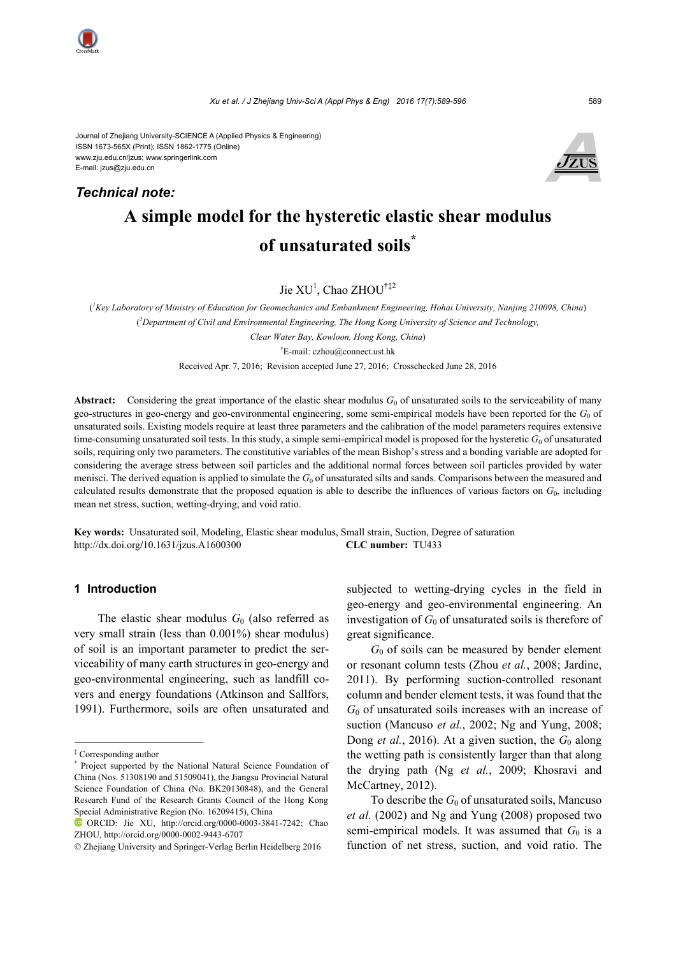*Technical note:*

Journal of Zhejiang University-SCIENCE A (Applied Physics & Engineering) ISSN 1673-565X (Print); ISSN 1862-1775 (Online) www.zju.edu.cn/jzus; www.springerlink.com E-mail: jzus@zju.edu.cn



# **of unsaturated soils\***

Jie XU<sup>1</sup>, Chao ZHOU<sup>†‡2</sup>

( *1 Key Laboratory of Ministry of Education for Geomechanics and Embankment Engineering, Hohai University, Nanjing 210098, China*) ( *2 Department of Civil and Environmental Engineering, The Hong Kong University of Science and Technology, Clear Water Bay, Kowloon, Hong Kong, China*) † E-mail: czhou@connect.ust.hk

Received Apr. 7, 2016; Revision accepted June 27, 2016; Crosschecked June 28, 2016

**Abstract:** Considering the great importance of the elastic shear modulus  $G_0$  of unsaturated soils to the serviceability of many geo-structures in geo-energy and geo-environmental engineering, some semi-empirical models have been reported for the *G*0 of unsaturated soils. Existing models require at least three parameters and the calibration of the model parameters requires extensive time-consuming unsaturated soil tests. In this study, a simple semi-empirical model is proposed for the hysteretic  $G_0$  of unsaturated soils, requiring only two parameters. The constitutive variables of the mean Bishop's stress and a bonding variable are adopted for considering the average stress between soil particles and the additional normal forces between soil particles provided by water menisci. The derived equation is applied to simulate the  $G_0$  of unsaturated silts and sands. Comparisons between the measured and calculated results demonstrate that the proposed equation is able to describe the influences of various factors on  $G<sub>0</sub>$ , including mean net stress, suction, wetting-drying, and void ratio.

**Key words:** Unsaturated soil, Modeling, Elastic shear modulus, Small strain, Suction, Degree of saturation http://dx.doi.org**/**10.1631/jzus.A1600300 **CLC number:** TU433

#### **1 Introduction**

The elastic shear modulus  $G_0$  (also referred as very small strain (less than 0.001%) shear modulus) of soil is an important parameter to predict the serviceability of many earth structures in geo-energy and geo-environmental engineering, such as landfill covers and energy foundations (Atkinson and Sallfors, 1991). Furthermore, soils are often unsaturated and subjected to wetting-drying cycles in the field in geo-energy and geo-environmental engineering. An investigation of  $G_0$  of unsaturated soils is therefore of great significance.

 $G_0$  of soils can be measured by bender element or resonant column tests (Zhou *et al.*, 2008; Jardine, 2011). By performing suction-controlled resonant column and bender element tests, it was found that the *G*0 of unsaturated soils increases with an increase of suction (Mancuso *et al.*, 2002; Ng and Yung, 2008; Dong *et al.*, 2016). At a given suction, the  $G_0$  along the wetting path is consistently larger than that along the drying path (Ng *et al.*, 2009; Khosravi and McCartney, 2012).

To describe the  $G_0$  of unsaturated soils, Mancuso *et al.* (2002) and Ng and Yung (2008) proposed two semi-empirical models. It was assumed that  $G_0$  is a function of net stress, suction, and void ratio. The

<sup>‡</sup> Corresponding author

<sup>\*</sup> Project supported by the National Natural Science Foundation of China (Nos. 51308190 and 51509041), the Jiangsu Provincial Natural Science Foundation of China (No. BK20130848), and the General Research Fund of the Research Grants Council of the Hong Kong Special Administrative Region (No. 16209415), China

ORCID: Jie XU, http://orcid.org/0000-0003-3841-7242; Chao ZHOU, http://orcid.org/0000-0002-9443-6707

<sup>©</sup> Zhejiang University and Springer-Verlag Berlin Heidelberg 2016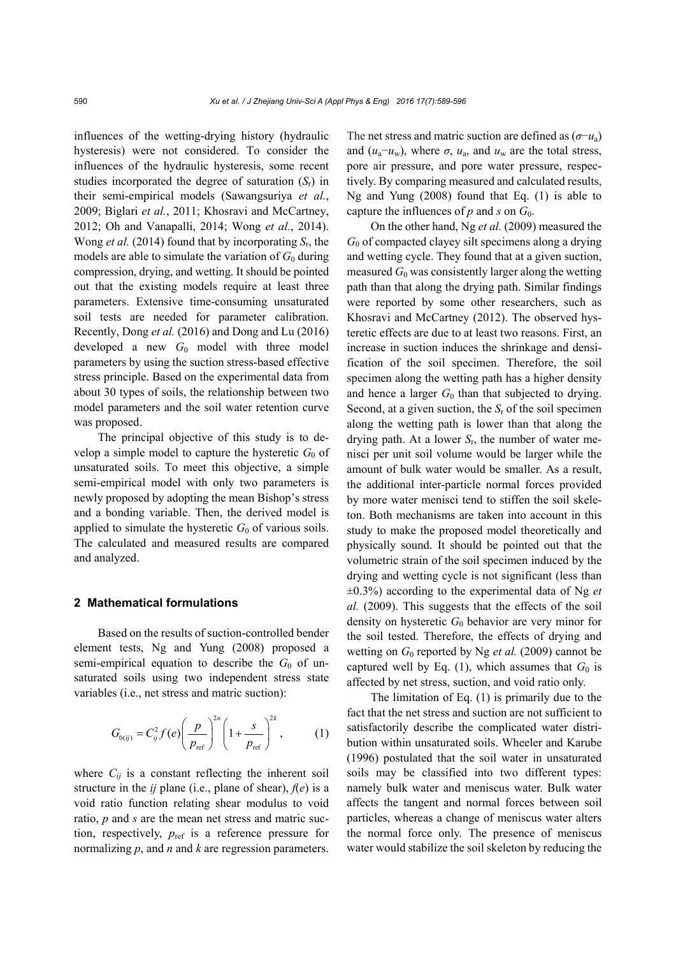influences of the wetting-drying history (hydraulic hysteresis) were not considered. To consider the influences of the hydraulic hysteresis, some recent studies incorporated the degree of saturation (*S*r) in their semi-empirical models (Sawangsuriya *et al.*, 2009; Biglari *et al.*, 2011; Khosravi and McCartney, 2012; Oh and Vanapalli, 2014; Wong *et al.*, 2014). Wong *et al.* (2014) found that by incorporating *S*r, the models are able to simulate the variation of  $G_0$  during compression, drying, and wetting. It should be pointed out that the existing models require at least three parameters. Extensive time-consuming unsaturated soil tests are needed for parameter calibration. Recently, Dong *et al.* (2016) and Dong and Lu (2016) developed a new G<sub>0</sub> model with three model parameters by using the suction stress-based effective stress principle. Based on the experimental data from about 30 types of soils, the relationship between two model parameters and the soil water retention curve was proposed.

The principal objective of this study is to develop a simple model to capture the hysteretic  $G_0$  of unsaturated soils. To meet this objective, a simple semi-empirical model with only two parameters is newly proposed by adopting the mean Bishop's stress and a bonding variable. Then, the derived model is applied to simulate the hysteretic  $G_0$  of various soils. The calculated and measured results are compared and analyzed.

### **2 Mathematical formulations**

Based on the results of suction-controlled bender element tests, Ng and Yung (2008) proposed a semi-empirical equation to describe the  $G_0$  of unsaturated soils using two independent stress state variables (i.e., net stress and matric suction):

$$
G_{0(ij)} = C_{ij}^{2} f(e) \left(\frac{p}{p_{\text{ref}}}\right)^{2n} \left(1 + \frac{s}{p_{\text{ref}}}\right)^{2k}, \quad (1)
$$

where  $C_{ij}$  is a constant reflecting the inherent soil structure in the  $ij$  plane (i.e., plane of shear),  $f(e)$  is a void ratio function relating shear modulus to void ratio, *p* and *s* are the mean net stress and matric suction, respectively,  $p_{ref}$  is a reference pressure for normalizing *p*, and *n* and *k* are regression parameters.

The net stress and matric suction are defined as (*σ*−*u*a) and  $(u_a - u_w)$ , where  $\sigma$ ,  $u_a$ , and  $u_w$  are the total stress, pore air pressure, and pore water pressure, respectively. By comparing measured and calculated results, Ng and Yung (2008) found that Eq. (1) is able to capture the influences of  $p$  and  $s$  on  $G_0$ .

On the other hand, Ng *et al.* (2009) measured the *G*0 of compacted clayey silt specimens along a drying and wetting cycle. They found that at a given suction, measured  $G_0$  was consistently larger along the wetting path than that along the drying path. Similar findings were reported by some other researchers, such as Khosravi and McCartney (2012). The observed hysteretic effects are due to at least two reasons. First, an increase in suction induces the shrinkage and densification of the soil specimen. Therefore, the soil specimen along the wetting path has a higher density and hence a larger  $G_0$  than that subjected to drying. Second, at a given suction, the *S*r of the soil specimen along the wetting path is lower than that along the drying path. At a lower *S*r, the number of water menisci per unit soil volume would be larger while the amount of bulk water would be smaller. As a result, the additional inter-particle normal forces provided by more water menisci tend to stiffen the soil skeleton. Both mechanisms are taken into account in this study to make the proposed model theoretically and physically sound. It should be pointed out that the volumetric strain of the soil specimen induced by the drying and wetting cycle is not significant (less than  $\pm 0.3\%$ ) according to the experimental data of Ng *et al.* (2009). This suggests that the effects of the soil density on hysteretic *G*0 behavior are very minor for the soil tested. Therefore, the effects of drying and wetting on  $G_0$  reported by Ng *et al.* (2009) cannot be captured well by Eq. (1), which assumes that  $G_0$  is affected by net stress, suction, and void ratio only.

The limitation of Eq. (1) is primarily due to the fact that the net stress and suction are not sufficient to satisfactorily describe the complicated water distribution within unsaturated soils. Wheeler and Karube (1996) postulated that the soil water in unsaturated soils may be classified into two different types: namely bulk water and meniscus water. Bulk water affects the tangent and normal forces between soil particles, whereas a change of meniscus water alters the normal force only. The presence of meniscus water would stabilize the soil skeleton by reducing the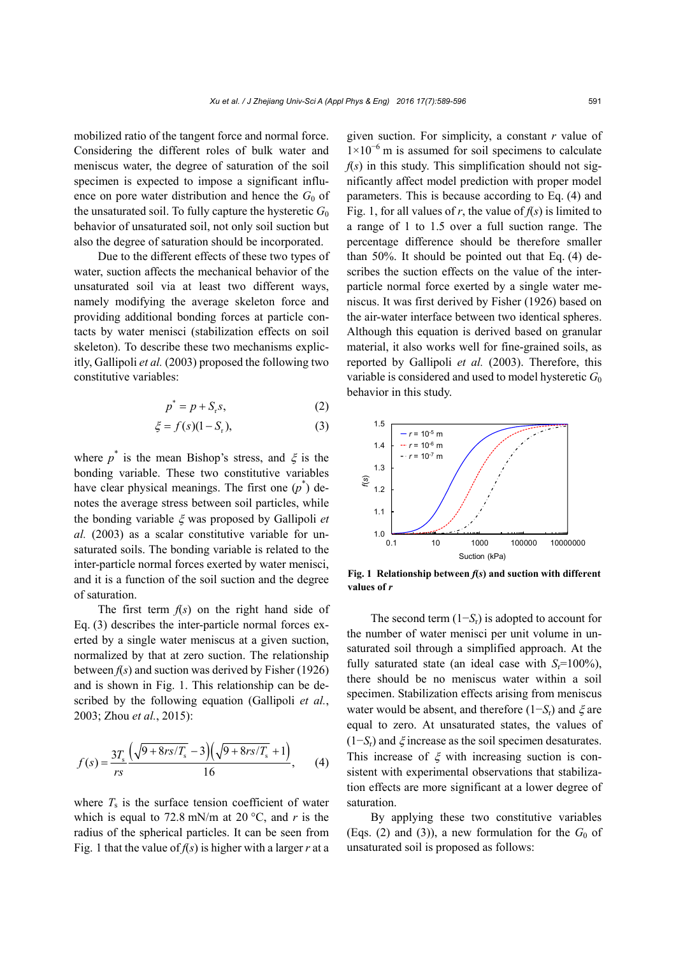mobilized ratio of the tangent force and normal force. Considering the different roles of bulk water and meniscus water, the degree of saturation of the soil specimen is expected to impose a significant influence on pore water distribution and hence the  $G_0$  of the unsaturated soil. To fully capture the hysteretic  $G_0$ behavior of unsaturated soil, not only soil suction but also the degree of saturation should be incorporated.

Due to the different effects of these two types of water, suction affects the mechanical behavior of the unsaturated soil via at least two different ways, namely modifying the average skeleton force and providing additional bonding forces at particle contacts by water menisci (stabilization effects on soil skeleton). To describe these two mechanisms explicitly, Gallipoli *et al.* (2003) proposed the following two constitutive variables:

$$
p^* = p + S_r s,\tag{2}
$$

$$
\xi = f(s)(1 - S_r),\tag{3}
$$

where  $p^*$  is the mean Bishop's stress, and  $\xi$  is the bonding variable. These two constitutive variables have clear physical meanings. The first one  $(p^*)$  denotes the average stress between soil particles, while the bonding variable  $\zeta$  was proposed by Gallipoli *et al.* (2003) as a scalar constitutive variable for unsaturated soils. The bonding variable is related to the inter-particle normal forces exerted by water menisci, and it is a function of the soil suction and the degree of saturation.

The first term *f*(*s*) on the right hand side of Eq. (3) describes the inter-particle normal forces exerted by a single water meniscus at a given suction, normalized by that at zero suction. The relationship between  $f(s)$  and suction was derived by Fisher (1926) and is shown in Fig. 1. This relationship can be described by the following equation (Gallipoli *et al.*, 2003; Zhou *et al.*, 2015):

$$
f(s) = \frac{3T_s}{rs} \frac{\left(\sqrt{9 + 8rs/T_s} - 3\right) \left(\sqrt{9 + 8rs/T_s} + 1\right)}{16},\qquad(4)
$$

where  $T<sub>s</sub>$  is the surface tension coefficient of water which is equal to 72.8 mN/m at 20  $\degree$ C, and *r* is the radius of the spherical particles. It can be seen from Fig. 1 that the value of *f*(*s*) is higher with a larger *r* at a

given suction. For simplicity, a constant *r* value of 1×10<sup>−</sup><sup>6</sup> m is assumed for soil specimens to calculate  $f(s)$  in this study. This simplification should not significantly affect model prediction with proper model parameters. This is because according to Eq. (4) and Fig. 1, for all values of *r*, the value of  $f(s)$  is limited to a range of 1 to 1.5 over a full suction range. The percentage difference should be therefore smaller than 50%. It should be pointed out that Eq. (4) describes the suction effects on the value of the interparticle normal force exerted by a single water meniscus. It was first derived by Fisher (1926) based on the air-water interface between two identical spheres. Although this equation is derived based on granular material, it also works well for fine-grained soils, as reported by Gallipoli *et al.* (2003). Therefore, this variable is considered and used to model hysteretic *G*<sup>0</sup> behavior in this study.



**Fig. 1 Relationship between** *f***(***s***) and suction with different values of** *r*

The second term (1−*S*r) is adopted to account for the number of water menisci per unit volume in unsaturated soil through a simplified approach. At the fully saturated state (an ideal case with  $S_r = 100\%$ ), there should be no meniscus water within a soil specimen. Stabilization effects arising from meniscus water would be absent, and therefore  $(1-S_r)$  and  $\xi$  are equal to zero. At unsaturated states, the values of  $(1-S_r)$  and  $\xi$  increase as the soil specimen desaturates. This increase of  $\xi$  with increasing suction is consistent with experimental observations that stabilization effects are more significant at a lower degree of saturation.

By applying these two constitutive variables (Eqs. (2) and (3)), a new formulation for the  $G_0$  of unsaturated soil is proposed as follows: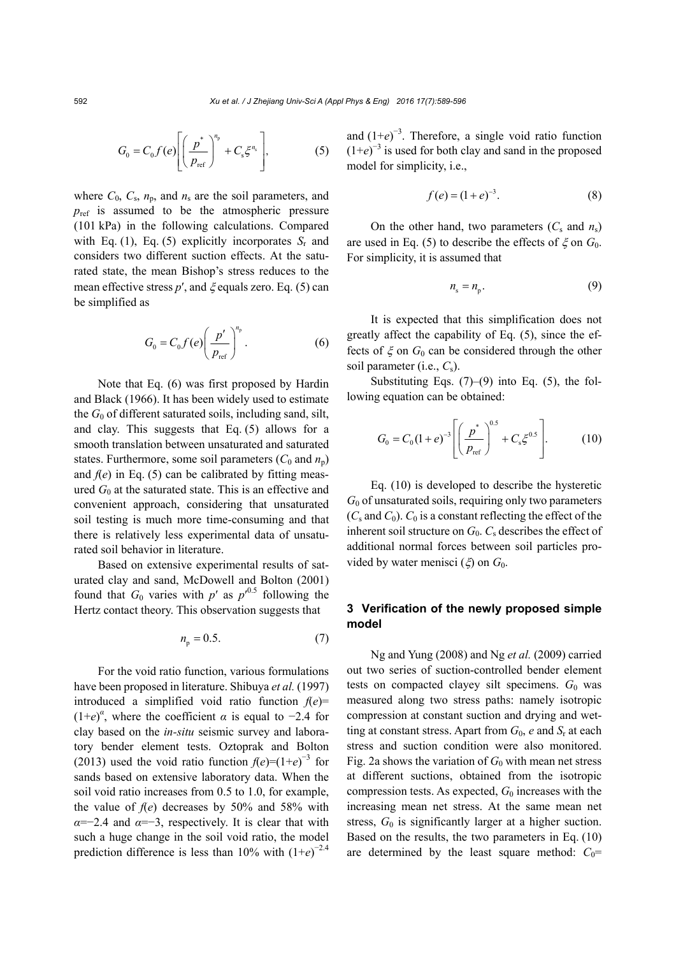$$
G_0 = C_0 f(e) \left[ \left( \frac{p^*}{p_{\text{ref}}} \right)^{n_p} + C_s \xi^{n_s} \right],\tag{5}
$$

where  $C_0$ ,  $C_s$ ,  $n_p$ , and  $n_s$  are the soil parameters, and  $p_{ref}$  is assumed to be the atmospheric pressure (101 kPa) in the following calculations. Compared with Eq. (1), Eq. (5) explicitly incorporates  $S_r$  and considers two different suction effects. At the saturated state, the mean Bishop's stress reduces to the mean effective stress  $p'$ , and  $\xi$  equals zero. Eq. (5) can be simplified as

$$
G_0 = C_0 f(e) \left(\frac{p'}{p_{\text{ref}}}\right)^{n_p}.
$$
 (6)

Note that Eq. (6) was first proposed by Hardin and Black (1966). It has been widely used to estimate the  $G_0$  of different saturated soils, including sand, silt, and clay. This suggests that Eq. (5) allows for a smooth translation between unsaturated and saturated states. Furthermore, some soil parameters  $(C_0$  and  $n_p$ ) and  $f(e)$  in Eq. (5) can be calibrated by fitting measured  $G_0$  at the saturated state. This is an effective and convenient approach, considering that unsaturated soil testing is much more time-consuming and that there is relatively less experimental data of unsaturated soil behavior in literature.

Based on extensive experimental results of saturated clay and sand, McDowell and Bolton (2001) found that  $G_0$  varies with  $p'$  as  $p'^{0.5}$  following the Hertz contact theory. This observation suggests that

$$
n_{\rm p} = 0.5. \tag{7}
$$

For the void ratio function, various formulations have been proposed in literature. Shibuya *et al.* (1997) introduced a simplified void ratio function  $f(e)$ =  $(1+e)^{\alpha}$ , where the coefficient  $\alpha$  is equal to -2.4 for clay based on the *in-situ* seismic survey and laboratory bender element tests. Oztoprak and Bolton (2013) used the void ratio function  $f(e) = (1+e)^{-3}$  for sands based on extensive laboratory data. When the soil void ratio increases from 0.5 to 1.0, for example, the value of  $f(e)$  decreases by 50% and 58% with  $\alpha = -2.4$  and  $\alpha = -3$ , respectively. It is clear that with such a huge change in the soil void ratio, the model prediction difference is less than 10% with  $(1+e)^{-2.4}$ 

and  $(1+e)^{-3}$ . Therefore, a single void ratio function  $(1+e)^{-3}$  is used for both clay and sand in the proposed model for simplicity, i.e.,

$$
f(e) = (1 + e)^{-3}.
$$
 (8)

On the other hand, two parameters  $(C_s$  and  $n_s$ ) are used in Eq. (5) to describe the effects of  $\zeta$  on  $G_0$ . For simplicity, it is assumed that

$$
n_{\rm s} = n_{\rm p}.\tag{9}
$$

It is expected that this simplification does not greatly affect the capability of Eq. (5), since the effects of  $\xi$  on  $G_0$  can be considered through the other soil parameter (i.e., *C*s).

Substituting Eqs.  $(7)$ – $(9)$  into Eq.  $(5)$ , the following equation can be obtained:

$$
G_0 = C_0 (1 + e)^{-3} \left[ \left( \frac{p^*}{p_{\text{ref}}} \right)^{0.5} + C_s \xi^{0.5} \right]. \tag{10}
$$

Eq. (10) is developed to describe the hysteretic *G*0 of unsaturated soils, requiring only two parameters  $(C_s$  and  $C_0$ ).  $C_0$  is a constant reflecting the effect of the inherent soil structure on  $G_0$ .  $C_s$  describes the effect of additional normal forces between soil particles provided by water menisci  $(\xi)$  on  $G_0$ .

## **3 Verification of the newly proposed simple model**

Ng and Yung (2008) and Ng *et al.* (2009) carried out two series of suction-controlled bender element tests on compacted clayey silt specimens.  $G_0$  was measured along two stress paths: namely isotropic compression at constant suction and drying and wetting at constant stress. Apart from  $G_0$ , *e* and  $S_r$  at each stress and suction condition were also monitored. Fig. 2a shows the variation of  $G_0$  with mean net stress at different suctions, obtained from the isotropic compression tests. As expected,  $G_0$  increases with the increasing mean net stress. At the same mean net stress,  $G_0$  is significantly larger at a higher suction. Based on the results, the two parameters in Eq. (10) are determined by the least square method:  $C_0$ =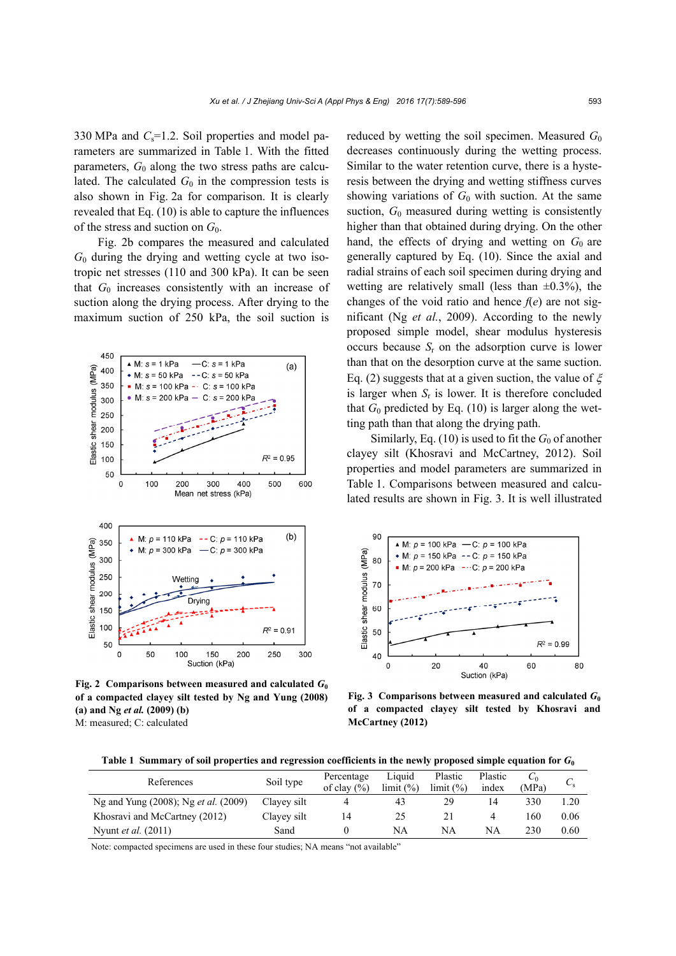330 MPa and  $C_s$ =1.2. Soil properties and model parameters are summarized in Table 1. With the fitted parameters,  $G_0$  along the two stress paths are calculated. The calculated  $G_0$  in the compression tests is also shown in Fig. 2a for comparison. It is clearly revealed that Eq. (10) is able to capture the influences of the stress and suction on *G*0.

Fig. 2b compares the measured and calculated  $G_0$  during the drying and wetting cycle at two isotropic net stresses (110 and 300 kPa). It can be seen that  $G_0$  increases consistently with an increase of suction along the drying process. After drying to the maximum suction of 250 kPa, the soil suction is



**Fig. 2 Comparisons between measured and calculated**  $G_0$ **of a compacted clayey silt tested by Ng and Yung (2008) (a) and Ng** *et al.* **(2009) (b)**  M: measured; C: calculated

reduced by wetting the soil specimen. Measured  $G_0$ decreases continuously during the wetting process. Similar to the water retention curve, there is a hysteresis between the drying and wetting stiffness curves showing variations of  $G_0$  with suction. At the same suction,  $G_0$  measured during wetting is consistently higher than that obtained during drying. On the other hand, the effects of drying and wetting on  $G_0$  are generally captured by Eq. (10). Since the axial and radial strains of each soil specimen during drying and wetting are relatively small (less than  $\pm 0.3\%$ ), the changes of the void ratio and hence  $f(e)$  are not significant (Ng *et al.*, 2009). According to the newly proposed simple model, shear modulus hysteresis occurs because  $S_r$  on the adsorption curve is lower than that on the desorption curve at the same suction. Eq. (2) suggests that at a given suction, the value of  $\xi$ is larger when  $S_r$  is lower. It is therefore concluded that  $G_0$  predicted by Eq. (10) is larger along the wetting path than that along the drying path.

Similarly, Eq.  $(10)$  is used to fit the  $G_0$  of another clayey silt (Khosravi and McCartney, 2012). Soil properties and model parameters are summarized in Table 1. Comparisons between measured and calculated results are shown in Fig. 3. It is well illustrated



**Fig. 3 Comparisons between measured and calculated**  $G_0$ **of a compacted clayey silt tested by Khosravi and McCartney (2012)**

**Table 1 Summary of soil properties and regression coefficients in the newly proposed simple equation for** *G***<sup>0</sup>**

| References                                  | Soil type   | Percentage<br>of clay $(\% )$ | Liquid<br>$\lim$ it $\left(\frac{9}{6}\right)$ | Plastic<br>limit (%) | Plastic<br>index | (MPa) | ັັ   |
|---------------------------------------------|-------------|-------------------------------|------------------------------------------------|----------------------|------------------|-------|------|
| Ng and Yung (2008); Ng <i>et al.</i> (2009) | Clayev silt |                               | 43                                             | 29                   | 14               | 330   | L.20 |
| Khosravi and McCartney (2012)               | Clayey silt | 14                            | 25                                             |                      |                  | 160   | 0.06 |
| Nyunt <i>et al.</i> (2011)                  | Sand        |                               | NA                                             | NA                   | NA               | 230   | 0.60 |

Note: compacted specimens are used in these four studies; NA means "not available"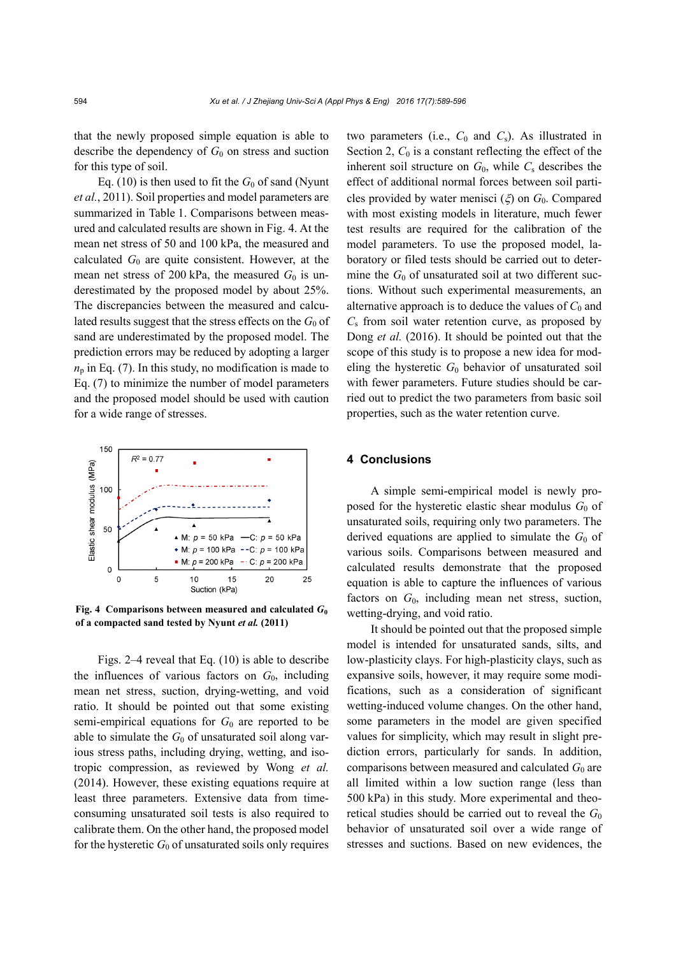that the newly proposed simple equation is able to describe the dependency of  $G_0$  on stress and suction for this type of soil.

Eq. (10) is then used to fit the  $G_0$  of sand (Nyunt *et al.*, 2011). Soil properties and model parameters are summarized in Table 1. Comparisons between measured and calculated results are shown in Fig. 4. At the mean net stress of 50 and 100 kPa, the measured and calculated  $G_0$  are quite consistent. However, at the mean net stress of 200 kPa, the measured  $G_0$  is underestimated by the proposed model by about 25%. The discrepancies between the measured and calculated results suggest that the stress effects on the  $G_0$  of sand are underestimated by the proposed model. The prediction errors may be reduced by adopting a larger  $n<sub>p</sub>$  in Eq. (7). In this study, no modification is made to Eq. (7) to minimize the number of model parameters and the proposed model should be used with caution for a wide range of stresses.



**Fig. 4 Comparisons between measured and calculated**  $G_0$ **of a compacted sand tested by Nyunt** *et al.* **(2011)**

Figs. 2–4 reveal that Eq. (10) is able to describe the influences of various factors on *G*0, including mean net stress, suction, drying-wetting, and void ratio. It should be pointed out that some existing semi-empirical equations for  $G_0$  are reported to be able to simulate the  $G_0$  of unsaturated soil along various stress paths, including drying, wetting, and isotropic compression, as reviewed by Wong *et al.* (2014). However, these existing equations require at least three parameters. Extensive data from timeconsuming unsaturated soil tests is also required to calibrate them. On the other hand, the proposed model for the hysteretic  $G_0$  of unsaturated soils only requires two parameters (i.e.,  $C_0$  and  $C_s$ ). As illustrated in Section 2,  $C_0$  is a constant reflecting the effect of the inherent soil structure on  $G_0$ , while  $C_s$  describes the effect of additional normal forces between soil particles provided by water menisci ( $\xi$ ) on  $G_0$ . Compared with most existing models in literature, much fewer test results are required for the calibration of the model parameters. To use the proposed model, laboratory or filed tests should be carried out to determine the  $G_0$  of unsaturated soil at two different suctions. Without such experimental measurements, an alternative approach is to deduce the values of  $C_0$  and *C*s from soil water retention curve, as proposed by Dong *et al.* (2016). It should be pointed out that the scope of this study is to propose a new idea for modeling the hysteretic *G*0 behavior of unsaturated soil with fewer parameters. Future studies should be carried out to predict the two parameters from basic soil properties, such as the water retention curve.

#### **4 Conclusions**

A simple semi-empirical model is newly proposed for the hysteretic elastic shear modulus  $G_0$  of unsaturated soils, requiring only two parameters. The derived equations are applied to simulate the  $G_0$  of various soils. Comparisons between measured and calculated results demonstrate that the proposed equation is able to capture the influences of various factors on  $G_0$ , including mean net stress, suction, wetting-drying, and void ratio.

It should be pointed out that the proposed simple model is intended for unsaturated sands, silts, and low-plasticity clays. For high-plasticity clays, such as expansive soils, however, it may require some modifications, such as a consideration of significant wetting-induced volume changes. On the other hand, some parameters in the model are given specified values for simplicity, which may result in slight prediction errors, particularly for sands. In addition, comparisons between measured and calculated  $G_0$  are all limited within a low suction range (less than 500 kPa) in this study. More experimental and theoretical studies should be carried out to reveal the  $G_0$ behavior of unsaturated soil over a wide range of stresses and suctions. Based on new evidences, the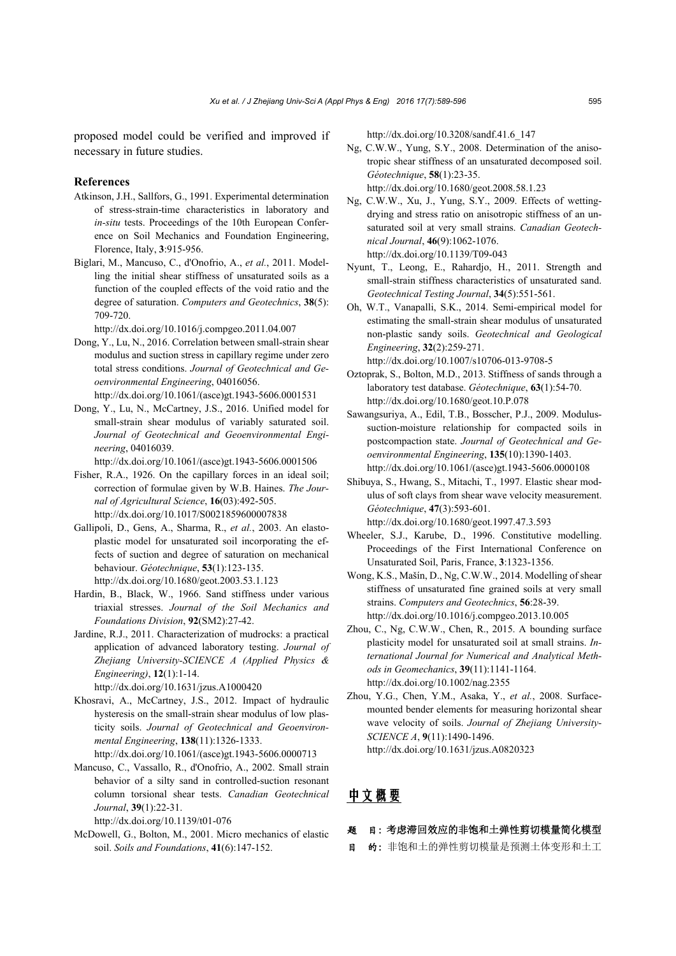proposed model could be verified and improved if necessary in future studies.

#### **References**

- Atkinson, J.H., Sallfors, G., 1991. Experimental determination of stress-strain-time characteristics in laboratory and *in-situ* tests. Proceedings of the 10th European Conference on Soil Mechanics and Foundation Engineering, Florence, Italy, **3**:915-956.
- Biglari, M., Mancuso, C., d'Onofrio, A., *et al.*, 2011. Modelling the initial shear stiffness of unsaturated soils as a function of the coupled effects of the void ratio and the degree of saturation. *Computers and Geotechnics*, **38**(5): 709-720.

http://dx.doi.org/10.1016/j.compgeo.2011.04.007

- Dong, Y., Lu, N., 2016. Correlation between small-strain shear modulus and suction stress in capillary regime under zero total stress conditions. *Journal of Geotechnical and Geoenvironmental Engineering*, 04016056. http://dx.doi.org/10.1061/(asce)gt.1943-5606.0001531
- Dong, Y., Lu, N., McCartney, J.S., 2016. Unified model for small-strain shear modulus of variably saturated soil. *Journal of Geotechnical and Geoenvironmental Engineering*, 04016039.

http://dx.doi.org/10.1061/(asce)gt.1943-5606.0001506

Fisher, R.A., 1926. On the capillary forces in an ideal soil; correction of formulae given by W.B. Haines. *The Journal of Agricultural Science*, **16**(03):492-505. http://dx.doi.org/10.1017/S0021859600007838

- Gallipoli, D., Gens, A., Sharma, R., *et al.*, 2003. An elastoplastic model for unsaturated soil incorporating the effects of suction and degree of saturation on mechanical behaviour. *Géotechnique*, **53**(1):123-135. http://dx.doi.org/10.1680/geot.2003.53.1.123
- Hardin, B., Black, W., 1966. Sand stiffness under various triaxial stresses. *Journal of the Soil Mechanics and Foundations Division*, **92**(SM2):27-42.
- Jardine, R.J., 2011. Characterization of mudrocks: a practical application of advanced laboratory testing. *Journal of Zhejiang University-SCIENCE A (Applied Physics & Engineering)*, **12**(1):1-14. http://dx.doi.org/10.1631/jzus.A1000420

Khosravi, A., McCartney, J.S., 2012. Impact of hydraulic hysteresis on the small-strain shear modulus of low plasticity soils. *Journal of Geotechnical and Geoenvironmental Engineering*, **138**(11):1326-1333. http://dx.doi.org/10.1061/(asce)gt.1943-5606.0000713

Mancuso, C., Vassallo, R., d'Onofrio, A., 2002. Small strain behavior of a silty sand in controlled-suction resonant column torsional shear tests. *Canadian Geotechnical Journal*, **39**(1):22-31.

http://dx.doi.org/10.1139/t01-076

McDowell, G., Bolton, M., 2001. Micro mechanics of elastic soil. *Soils and Foundations*, **41**(6):147-152.

http://dx.doi.org/10.3208/sandf.41.6\_147

- Ng, C.W.W., Yung, S.Y., 2008. Determination of the anisotropic shear stiffness of an unsaturated decomposed soil. *Géotechnique*, **58**(1):23-35. http://dx.doi.org/10.1680/geot.2008.58.1.23
- Ng, C.W.W., Xu, J., Yung, S.Y., 2009. Effects of wettingdrying and stress ratio on anisotropic stiffness of an unsaturated soil at very small strains. *Canadian Geotechnical Journal*, **46**(9):1062-1076. http://dx.doi.org/10.1139/T09-043
- Nyunt, T., Leong, E., Rahardjo, H., 2011. Strength and small-strain stiffness characteristics of unsaturated sand. *Geotechnical Testing Journal*, **34**(5):551-561.
- Oh, W.T., Vanapalli, S.K., 2014. Semi-empirical model for estimating the small-strain shear modulus of unsaturated non-plastic sandy soils. *Geotechnical and Geological Engineering*, **32**(2):259-271. http://dx.doi.org/10.1007/s10706-013-9708-5
- Oztoprak, S., Bolton, M.D., 2013. Stiffness of sands through a laboratory test database. *Géotechnique*, **63**(1):54-70. http://dx.doi.org/10.1680/geot.10.P.078
- Sawangsuriya, A., Edil, T.B., Bosscher, P.J., 2009. Modulussuction-moisture relationship for compacted soils in postcompaction state. *Journal of Geotechnical and Geoenvironmental Engineering*, **135**(10):1390-1403. http://dx.doi.org/10.1061/(asce)gt.1943-5606.0000108
- Shibuya, S., Hwang, S., Mitachi, T., 1997. Elastic shear modulus of soft clays from shear wave velocity measurement. *Géotechnique*, **47**(3):593-601. http://dx.doi.org/10.1680/geot.1997.47.3.593
- Wheeler, S.J., Karube, D., 1996. Constitutive modelling. Proceedings of the First International Conference on Unsaturated Soil, Paris, France, **3**:1323-1356.
- Wong, K.S., Mašín, D., Ng, C.W.W., 2014. Modelling of shear stiffness of unsaturated fine grained soils at very small strains. *Computers and Geotechnics*, **56**:28-39. http://dx.doi.org/10.1016/j.compgeo.2013.10.005
- Zhou, C., Ng, C.W.W., Chen, R., 2015. A bounding surface plasticity model for unsaturated soil at small strains. *International Journal for Numerical and Analytical Methods in Geomechanics*, **39**(11):1141-1164. http://dx.doi.org/10.1002/nag.2355
- Zhou, Y.G., Chen, Y.M., Asaka, Y., *et al.*, 2008. Surfacemounted bender elements for measuring horizontal shear wave velocity of soils. *Journal of Zhejiang University-SCIENCE A*, **9**(11):1490-1496.

http://dx.doi.org/10.1631/jzus.A0820323

# 中文概要

#### 题 目:考虑滞回效应的非饱和土弹性剪切模量简化模型

目 的:非饱和土的弹性剪切模量是预测土体变形和土工